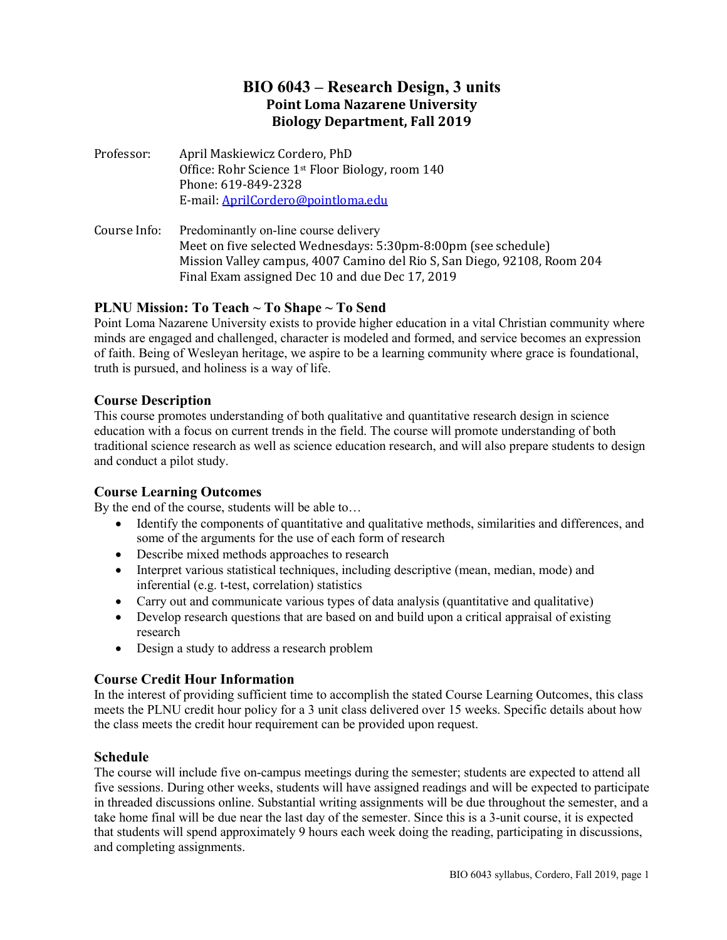# **BIO 6043 – Research Design, 3 units Point Loma Nazarene University Biology Department, Fall 2019**

- Professor: April Maskiewicz Cordero, PhD Office: Rohr Science 1st Floor Biology, room 140 Phone: 619-849-2328 E-mail: [AprilCordero@pointloma.edu](mailto:AprilCordero@pointloma.edu)
- Course Info: Predominantly on-line course delivery Meet on five selected Wednesdays: 5:30pm-8:00pm (see schedule) Mission Valley campus, 4007 Camino del Rio S, San Diego, 92108, Room 204 Final Exam assigned Dec 10 and due Dec 17, 2019

# **PLNU Mission: To Teach ~ To Shape ~ To Send**

Point Loma Nazarene University exists to provide higher education in a vital Christian community where minds are engaged and challenged, character is modeled and formed, and service becomes an expression of faith. Being of Wesleyan heritage, we aspire to be a learning community where grace is foundational, truth is pursued, and holiness is a way of life.

# **Course Description**

This course promotes understanding of both qualitative and quantitative research design in science education with a focus on current trends in the field. The course will promote understanding of both traditional science research as well as science education research, and will also prepare students to design and conduct a pilot study.

# **Course Learning Outcomes**

By the end of the course, students will be able to…

- Identify the components of quantitative and qualitative methods, similarities and differences, and some of the arguments for the use of each form of research
- Describe mixed methods approaches to research
- Interpret various statistical techniques, including descriptive (mean, median, mode) and inferential (e.g. t-test, correlation) statistics
- Carry out and communicate various types of data analysis (quantitative and qualitative)
- Develop research questions that are based on and build upon a critical appraisal of existing research
- Design a study to address a research problem

# **Course Credit Hour Information**

In the interest of providing sufficient time to accomplish the stated Course Learning Outcomes, this class meets the PLNU credit hour policy for a 3 unit class delivered over 15 weeks. Specific details about how the class meets the credit hour requirement can be provided upon request.

# **Schedule**

The course will include five on-campus meetings during the semester; students are expected to attend all five sessions. During other weeks, students will have assigned readings and will be expected to participate in threaded discussions online. Substantial writing assignments will be due throughout the semester, and a take home final will be due near the last day of the semester. Since this is a 3-unit course, it is expected that students will spend approximately 9 hours each week doing the reading, participating in discussions, and completing assignments.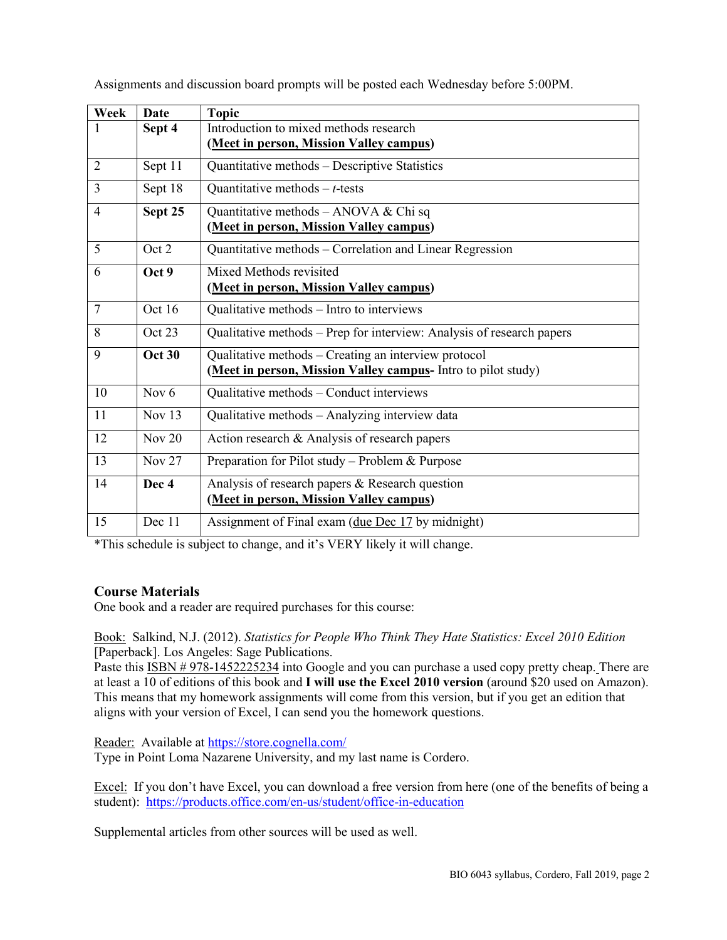| Week           | Date          | <b>Topic</b>                                                          |  |  |
|----------------|---------------|-----------------------------------------------------------------------|--|--|
|                | Sept 4        | Introduction to mixed methods research                                |  |  |
|                |               | (Meet in person, Mission Valley campus)                               |  |  |
| $\overline{2}$ | Sept 11       | Quantitative methods - Descriptive Statistics                         |  |  |
| 3              | Sept 18       | Quantitative methods $-t$ -tests                                      |  |  |
| 4              | Sept 25       | Quantitative methods - ANOVA & Chi sq                                 |  |  |
|                |               | (Meet in person, Mission Valley campus)                               |  |  |
| 5              | Oct 2         | Quantitative methods - Correlation and Linear Regression              |  |  |
| 6              | Oct 9         | Mixed Methods revisited                                               |  |  |
|                |               | (Meet in person, Mission Valley campus)                               |  |  |
| $\overline{7}$ | Oct 16        | Qualitative methods - Intro to interviews                             |  |  |
| 8              | Oct 23        | Qualitative methods – Prep for interview: Analysis of research papers |  |  |
| 9              | <b>Oct 30</b> | Qualitative methods - Creating an interview protocol                  |  |  |
|                |               | (Meet in person, Mission Valley campus- Intro to pilot study)         |  |  |
| 10             | Nov $6$       | Qualitative methods - Conduct interviews                              |  |  |
| 11             | Nov $13$      | Qualitative methods - Analyzing interview data                        |  |  |
| 12             | Nov $20$      | Action research & Analysis of research papers                         |  |  |
| 13             | Nov $27$      | Preparation for Pilot study – Problem & Purpose                       |  |  |
| 14             | Dec 4         | Analysis of research papers & Research question                       |  |  |
|                |               | (Meet in person, Mission Valley campus)                               |  |  |
| 15             | Dec 11        | Assignment of Final exam (due Dec 17 by midnight)                     |  |  |

Assignments and discussion board prompts will be posted each Wednesday before 5:00PM.

\*This schedule is subject to change, and it's VERY likely it will change.

# **Course Materials**

One book and a reader are required purchases for this course:

Book: Salkind, N.J. (2012). *Statistics for People Who Think They Hate Statistics: Excel 2010 Edition*  [Paperback]. Los Angeles: Sage Publications.

Paste this ISBN # 978-1452225234 into Google and you can purchase a used copy pretty cheap. There are at least a 10 of editions of this book and **I will use the Excel 2010 version** (around \$20 used on Amazon). This means that my homework assignments will come from this version, but if you get an edition that aligns with your version of Excel, I can send you the homework questions.

Reader: Available at<https://store.cognella.com/>

Type in Point Loma Nazarene University, and my last name is Cordero.

Excel: If you don't have Excel, you can download a free version from here (one of the benefits of being a student): <https://products.office.com/en-us/student/office-in-education>

Supplemental articles from other sources will be used as well.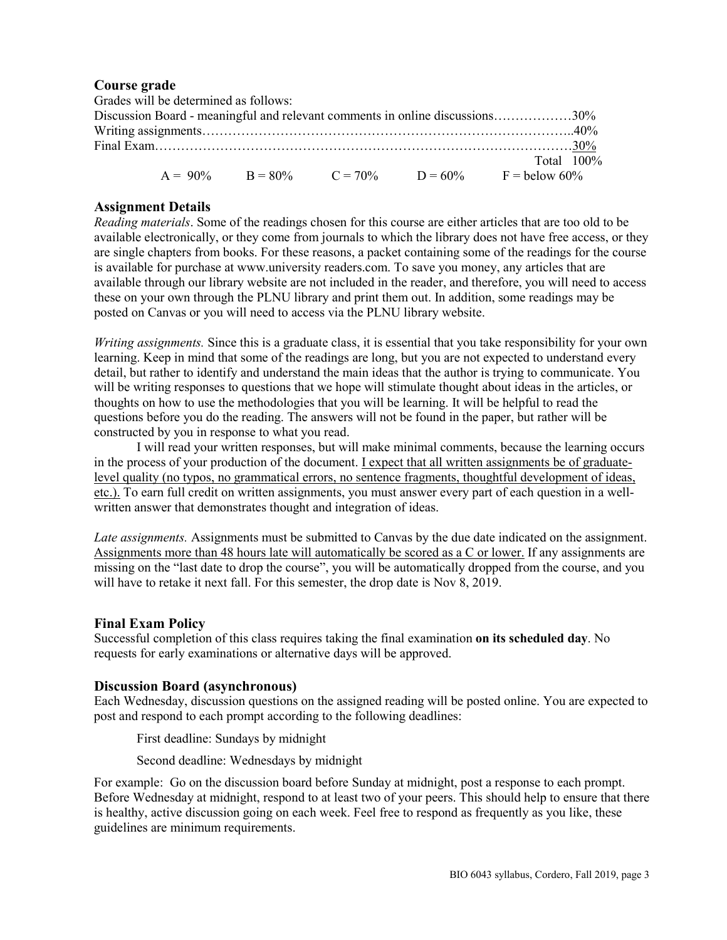### **Course grade**

|                                                                              | Grades will be determined as follows: |  |  |  |                                                  |  |
|------------------------------------------------------------------------------|---------------------------------------|--|--|--|--------------------------------------------------|--|
| Discussion Board - meaningful and relevant comments in online discussions30% |                                       |  |  |  |                                                  |  |
|                                                                              |                                       |  |  |  |                                                  |  |
|                                                                              |                                       |  |  |  |                                                  |  |
|                                                                              |                                       |  |  |  | Total $100\%$                                    |  |
|                                                                              |                                       |  |  |  | $A = 90\%$ B = 80% C = 70% D = 60% F = below 60% |  |

### **Assignment Details**

*Reading materials*. Some of the readings chosen for this course are either articles that are too old to be available electronically, or they come from journals to which the library does not have free access, or they are single chapters from books. For these reasons, a packet containing some of the readings for the course is available for purchase at www.university readers.com. To save you money, any articles that are available through our library website are not included in the reader, and therefore, you will need to access these on your own through the PLNU library and print them out. In addition, some readings may be posted on Canvas or you will need to access via the PLNU library website.

*Writing assignments.* Since this is a graduate class, it is essential that you take responsibility for your own learning. Keep in mind that some of the readings are long, but you are not expected to understand every detail, but rather to identify and understand the main ideas that the author is trying to communicate. You will be writing responses to questions that we hope will stimulate thought about ideas in the articles, or thoughts on how to use the methodologies that you will be learning. It will be helpful to read the questions before you do the reading. The answers will not be found in the paper, but rather will be constructed by you in response to what you read.

I will read your written responses, but will make minimal comments, because the learning occurs in the process of your production of the document. <u>I expect that all written assignments be of graduate-</u> level quality (no typos, no grammatical errors, no sentence fragments, thoughtful development of ideas, etc.). To earn full credit on written assignments, you must answer every part of each question in a wellwritten answer that demonstrates thought and integration of ideas.

*Late assignments.* Assignments must be submitted to Canvas by the due date indicated on the assignment. Assignments more than 48 hours late will automatically be scored as a C or lower. If any assignments are missing on the "last date to drop the course", you will be automatically dropped from the course, and you will have to retake it next fall. For this semester, the drop date is Nov 8, 2019.

#### **Final Exam Policy**

Successful completion of this class requires taking the final examination **on its scheduled day**. No requests for early examinations or alternative days will be approved.

#### **Discussion Board (asynchronous)**

Each Wednesday, discussion questions on the assigned reading will be posted online. You are expected to post and respond to each prompt according to the following deadlines:

First deadline: Sundays by midnight

Second deadline: Wednesdays by midnight

For example: Go on the discussion board before Sunday at midnight, post a response to each prompt. Before Wednesday at midnight, respond to at least two of your peers. This should help to ensure that there is healthy, active discussion going on each week. Feel free to respond as frequently as you like, these guidelines are minimum requirements.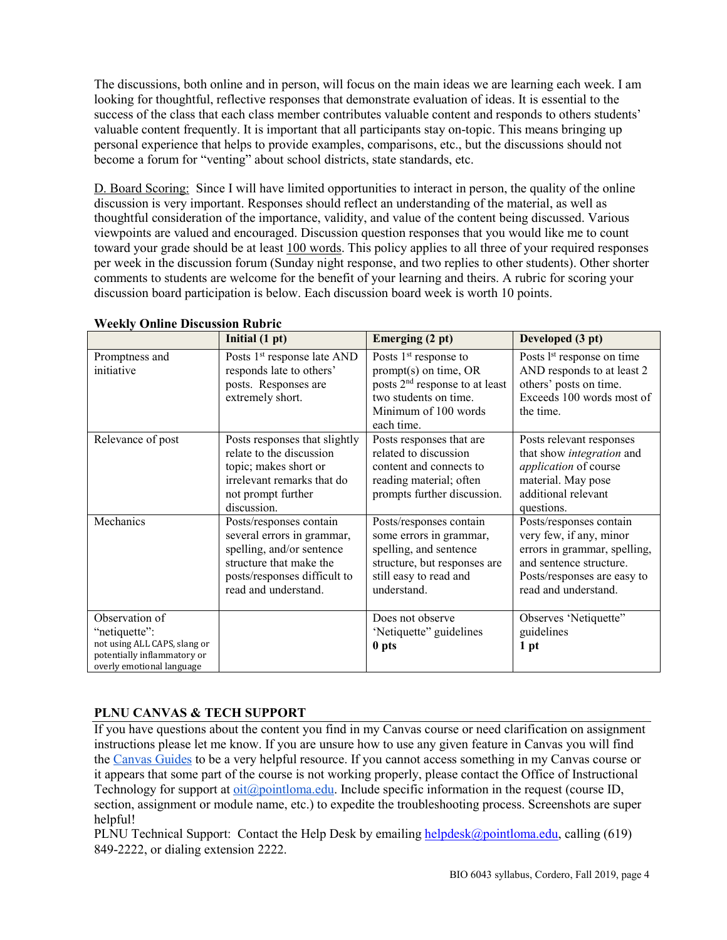The discussions, both online and in person, will focus on the main ideas we are learning each week. I am looking for thoughtful, reflective responses that demonstrate evaluation of ideas. It is essential to the success of the class that each class member contributes valuable content and responds to others students' valuable content frequently. It is important that all participants stay on-topic. This means bringing up personal experience that helps to provide examples, comparisons, etc., but the discussions should not become a forum for "venting" about school districts, state standards, etc.

D. Board Scoring: Since I will have limited opportunities to interact in person, the quality of the online discussion is very important. Responses should reflect an understanding of the material, as well as thoughtful consideration of the importance, validity, and value of the content being discussed. Various viewpoints are valued and encouraged. Discussion question responses that you would like me to count toward your grade should be at least 100 words. This policy applies to all three of your required responses per week in the discussion forum (Sunday night response, and two replies to other students). Other shorter comments to students are welcome for the benefit of your learning and theirs. A rubric for scoring your discussion board participation is below. Each discussion board week is worth 10 points.

|                                                                                                                             | Initial $(1 pt)$                                                                                                                                                      | Emerging (2 pt)                                                                                                                                       | Developed (3 pt)                                                                                                                                                     |
|-----------------------------------------------------------------------------------------------------------------------------|-----------------------------------------------------------------------------------------------------------------------------------------------------------------------|-------------------------------------------------------------------------------------------------------------------------------------------------------|----------------------------------------------------------------------------------------------------------------------------------------------------------------------|
| Promptness and<br>initiative                                                                                                | Posts 1 <sup>st</sup> response late AND<br>responds late to others'<br>posts. Responses are<br>extremely short.                                                       | Posts $1st$ response to<br>$prompt(s)$ on time, OR<br>posts $2nd$ response to at least<br>two students on time.<br>Minimum of 100 words<br>each time. | Posts l <sup>st</sup> response on time<br>AND responds to at least 2<br>others' posts on time.<br>Exceeds 100 words most of<br>the time.                             |
| Relevance of post                                                                                                           | Posts responses that slightly<br>relate to the discussion<br>topic; makes short or<br>irrelevant remarks that do<br>not prompt further<br>discussion.                 | Posts responses that are<br>related to discussion<br>content and connects to<br>reading material; often<br>prompts further discussion.                | Posts relevant responses<br>that show integration and<br>application of course<br>material. May pose<br>additional relevant<br>questions.                            |
| Mechanics                                                                                                                   | Posts/responses contain<br>several errors in grammar,<br>spelling, and/or sentence<br>structure that make the<br>posts/responses difficult to<br>read and understand. | Posts/responses contain<br>some errors in grammar,<br>spelling, and sentence<br>structure, but responses are<br>still easy to read and<br>understand. | Posts/responses contain<br>very few, if any, minor<br>errors in grammar, spelling,<br>and sentence structure.<br>Posts/responses are easy to<br>read and understand. |
| Observation of<br>"netiquette":<br>not using ALL CAPS, slang or<br>potentially inflammatory or<br>overly emotional language |                                                                                                                                                                       | Does not observe<br>'Netiquette'' guidelines<br>0 pts                                                                                                 | Observes 'Netiquette"<br>guidelines<br>1 pt                                                                                                                          |

### **Weekly Online Discussion Rubric**

# **PLNU CANVAS & TECH SUPPORT**

If you have questions about the content you find in my Canvas course or need clarification on assignment instructions please let me know. If you are unsure how to use any given feature in Canvas you will find the [Canvas Guides](https://community.canvaslms.com/community/answers/guides/) to be a very helpful resource. If you cannot access something in my Canvas course or it appears that some part of the course is not working properly, please contact the Office of Instructional Technology for support at [oit@pointloma.edu.](mailto:oit@pointloma.edu) Include specific information in the request (course ID, section, assignment or module name, etc.) to expedite the troubleshooting process. Screenshots are super helpful!

PLNU Technical Support: Contact the Help Desk by emailing [helpdesk@pointloma.edu,](mailto:helpdesk@pointloma.edu) calling (619) 849-2222, or dialing extension 2222.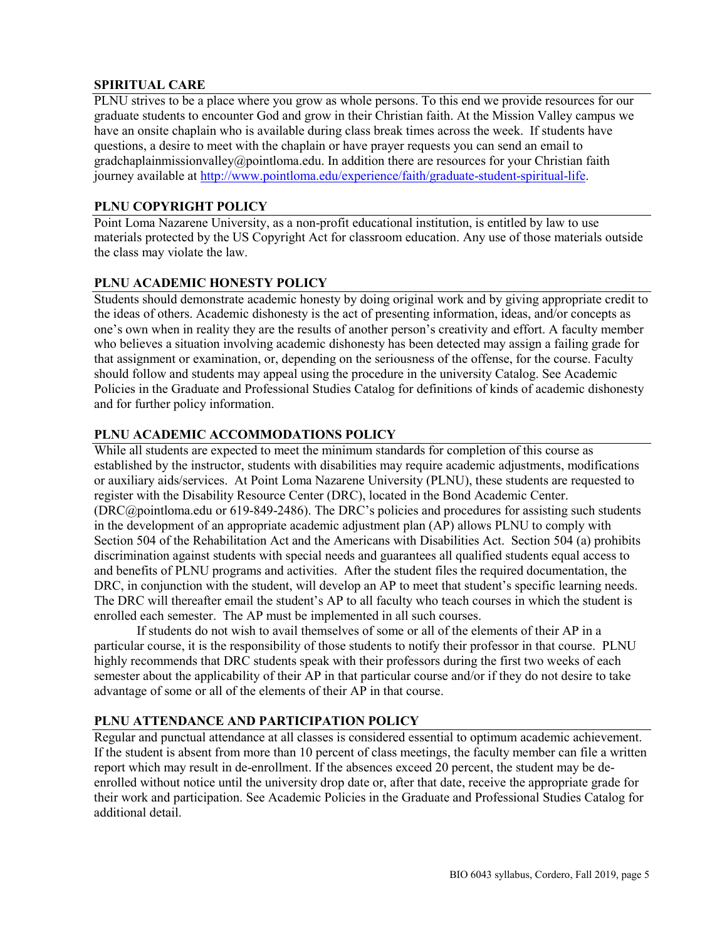### **SPIRITUAL CARE**

PLNU strives to be a place where you grow as whole persons. To this end we provide resources for our graduate students to encounter God and grow in their Christian faith. At the Mission Valley campus we have an onsite chaplain who is available during class break times across the week. If students have questions, a desire to meet with the chaplain or have prayer requests you can send an email to gradchaplainmissionvalley@pointloma.edu. In addition there are resources for your Christian faith journey available a[t http://www.pointloma.edu/experience/faith/graduate-student-spiritual-life.](http://www.pointloma.edu/experience/faith/graduate-student-spiritual-life)

# **PLNU COPYRIGHT POLICY**

Point Loma Nazarene University, as a non-profit educational institution, is entitled by law to use materials protected by the US Copyright Act for classroom education. Any use of those materials outside the class may violate the law.

### **PLNU ACADEMIC HONESTY POLICY**

Students should demonstrate academic honesty by doing original work and by giving appropriate credit to the ideas of others. Academic dishonesty is the act of presenting information, ideas, and/or concepts as one's own when in reality they are the results of another person's creativity and effort. A faculty member who believes a situation involving academic dishonesty has been detected may assign a failing grade for that assignment or examination, or, depending on the seriousness of the offense, for the course. Faculty should follow and students may appeal using the procedure in the university Catalog. See Academic Policies in the Graduate and Professional Studies Catalog for definitions of kinds of academic dishonesty and for further policy information.

# **PLNU ACADEMIC ACCOMMODATIONS POLICY**

While all students are expected to meet the minimum standards for completion of this course as established by the instructor, students with disabilities may require academic adjustments, modifications or auxiliary aids/services. At Point Loma Nazarene University (PLNU), these students are requested to register with the Disability Resource Center (DRC), located in the Bond Academic Center. (DRC@pointloma.edu or 619-849-2486). The DRC's policies and procedures for assisting such students in the development of an appropriate academic adjustment plan (AP) allows PLNU to comply with Section 504 of the Rehabilitation Act and the Americans with Disabilities Act. Section 504 (a) prohibits discrimination against students with special needs and guarantees all qualified students equal access to and benefits of PLNU programs and activities. After the student files the required documentation, the DRC, in conjunction with the student, will develop an AP to meet that student's specific learning needs. The DRC will thereafter email the student's AP to all faculty who teach courses in which the student is enrolled each semester. The AP must be implemented in all such courses.

If students do not wish to avail themselves of some or all of the elements of their AP in a particular course, it is the responsibility of those students to notify their professor in that course. PLNU highly recommends that DRC students speak with their professors during the first two weeks of each semester about the applicability of their AP in that particular course and/or if they do not desire to take advantage of some or all of the elements of their AP in that course.

#### **PLNU ATTENDANCE AND PARTICIPATION POLICY**

Regular and punctual attendance at all classes is considered essential to optimum academic achievement. If the student is absent from more than 10 percent of class meetings, the faculty member can file a written report which may result in de-enrollment. If the absences exceed 20 percent, the student may be deenrolled without notice until the university drop date or, after that date, receive the appropriate grade for their work and participation. See Academic Policies in the Graduate and Professional Studies Catalog for additional detail.